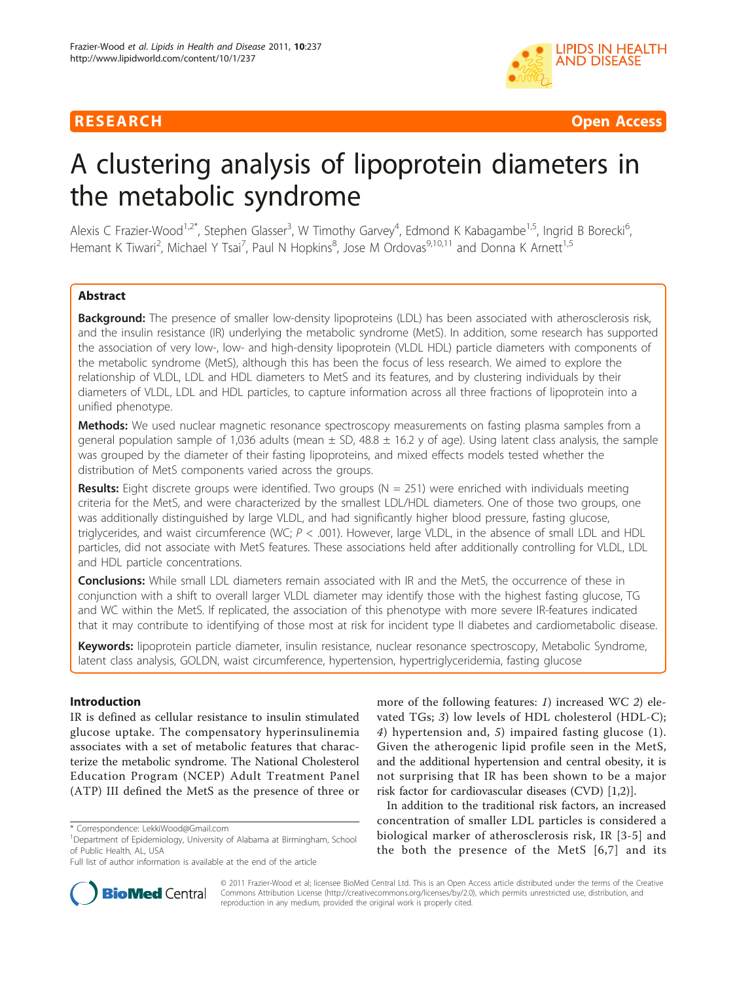

**RESEARCH CONSIDERED ACCESS CONSIDERED ACCESS CONSIDERED ACCESS CONSIDERED ACCESS** 

# A clustering analysis of lipoprotein diameters in the metabolic syndrome

Alexis C Frazier-Wood<sup>1,2\*</sup>, Stephen Glasser<sup>3</sup>, W Timothy Garvey<sup>4</sup>, Edmond K Kabagambe<sup>1,5</sup>, Ingrid B Borecki<sup>6</sup> , Hemant K Tiwari<sup>2</sup>, Michael Y Tsai<sup>7</sup>, Paul N Hopkins<sup>8</sup>, Jose M Ordovas<sup>9,10,11</sup> and Donna K Arnett<sup>1,5</sup>

### Abstract

Background: The presence of smaller low-density lipoproteins (LDL) has been associated with atherosclerosis risk, and the insulin resistance (IR) underlying the metabolic syndrome (MetS). In addition, some research has supported the association of very low-, low- and high-density lipoprotein (VLDL HDL) particle diameters with components of the metabolic syndrome (MetS), although this has been the focus of less research. We aimed to explore the relationship of VLDL, LDL and HDL diameters to MetS and its features, and by clustering individuals by their diameters of VLDL, LDL and HDL particles, to capture information across all three fractions of lipoprotein into a unified phenotype.

Methods: We used nuclear magnetic resonance spectroscopy measurements on fasting plasma samples from a general population sample of 1,036 adults (mean  $\pm$  SD, 48.8  $\pm$  16.2 y of age). Using latent class analysis, the sample was grouped by the diameter of their fasting lipoproteins, and mixed effects models tested whether the distribution of MetS components varied across the groups.

**Results:** Eight discrete groups were identified. Two groups  $(N = 251)$  were enriched with individuals meeting criteria for the MetS, and were characterized by the smallest LDL/HDL diameters. One of those two groups, one was additionally distinguished by large VLDL, and had significantly higher blood pressure, fasting glucose, triglycerides, and waist circumference (WC;  $P < .001$ ). However, large VLDL, in the absence of small LDL and HDL particles, did not associate with MetS features. These associations held after additionally controlling for VLDL, LDL and HDL particle concentrations.

**Conclusions:** While small LDL diameters remain associated with IR and the MetS, the occurrence of these in conjunction with a shift to overall larger VLDL diameter may identify those with the highest fasting glucose, TG and WC within the MetS. If replicated, the association of this phenotype with more severe IR-features indicated that it may contribute to identifying of those most at risk for incident type II diabetes and cardiometabolic disease.

Keywords: lipoprotein particle diameter, insulin resistance, nuclear resonance spectroscopy, Metabolic Syndrome, latent class analysis, GOLDN, waist circumference, hypertension, hypertriglyceridemia, fasting glucose

#### Introduction

IR is defined as cellular resistance to insulin stimulated glucose uptake. The compensatory hyperinsulinemia associates with a set of metabolic features that characterize the metabolic syndrome. The National Cholesterol Education Program (NCEP) Adult Treatment Panel (ATP) III defined the MetS as the presence of three or



In addition to the traditional risk factors, an increased concentration of smaller LDL particles is considered a biological marker of atherosclerosis risk, IR [[3](#page-6-0)-[5](#page-6-0)] and the both the presence of the MetS [[6,7\]](#page-6-0) and its



© 2011 Frazier-Wood et al; licensee BioMed Central Ltd. This is an Open Access article distributed under the terms of the Creative Commons Attribution License [\(http://creativecommons.org/licenses/by/2.0](http://creativecommons.org/licenses/by/2.0)), which permits unrestricted use, distribution, and reproduction in any medium, provided the original work is properly cited.

<sup>\*</sup> Correspondence: [LekkiWood@Gmail.com](mailto:LekkiWood@Gmail.com)

<sup>&</sup>lt;sup>1</sup>Department of Epidemiology, University of Alabama at Birmingham, School of Public Health, AL, USA

Full list of author information is available at the end of the article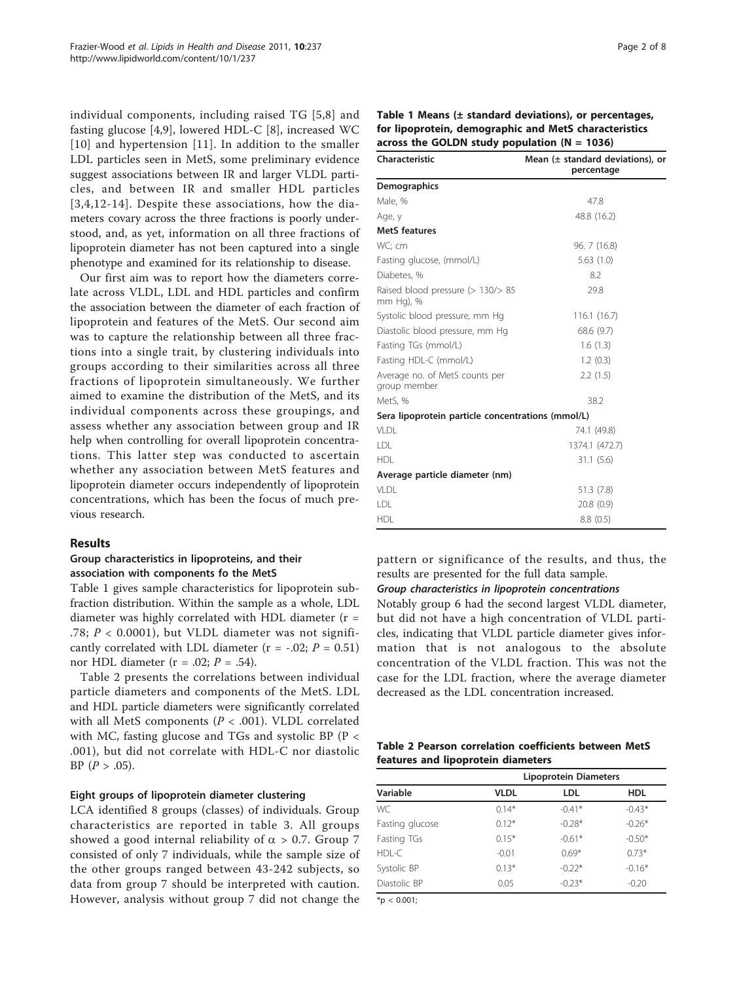individual components, including raised TG [\[5,8](#page-6-0)] and fasting glucose [\[4](#page-6-0),[9](#page-6-0)], lowered HDL-C [\[8](#page-6-0)], increased WC [[10](#page-6-0)] and hypertension [[11](#page-6-0)]. In addition to the smaller LDL particles seen in MetS, some preliminary evidence suggest associations between IR and larger VLDL particles, and between IR and smaller HDL particles [[3,4](#page-6-0),[12-14\]](#page-6-0). Despite these associations, how the diameters covary across the three fractions is poorly understood, and, as yet, information on all three fractions of lipoprotein diameter has not been captured into a single phenotype and examined for its relationship to disease.

Our first aim was to report how the diameters correlate across VLDL, LDL and HDL particles and confirm the association between the diameter of each fraction of lipoprotein and features of the MetS. Our second aim was to capture the relationship between all three fractions into a single trait, by clustering individuals into groups according to their similarities across all three fractions of lipoprotein simultaneously. We further aimed to examine the distribution of the MetS, and its individual components across these groupings, and assess whether any association between group and IR help when controlling for overall lipoprotein concentrations. This latter step was conducted to ascertain whether any association between MetS features and lipoprotein diameter occurs independently of lipoprotein concentrations, which has been the focus of much previous research.

#### Results

#### Group characteristics in lipoproteins, and their association with components fo the MetS

Table 1 gives sample characteristics for lipoprotein subfraction distribution. Within the sample as a whole, LDL diameter was highly correlated with HDL diameter  $(r =$ .78;  $P < 0.0001$ ), but VLDL diameter was not significantly correlated with LDL diameter ( $r = -0.02$ ;  $P = 0.51$ ) nor HDL diameter ( $r = .02$ ;  $P = .54$ ).

Table 2 presents the correlations between individual particle diameters and components of the MetS. LDL and HDL particle diameters were significantly correlated with all MetS components ( $P < .001$ ). VLDL correlated with MC, fasting glucose and TGs and systolic BP (P < .001), but did not correlate with HDL-C nor diastolic BP ( $P > .05$ ).

#### Eight groups of lipoprotein diameter clustering

LCA identified 8 groups (classes) of individuals. Group characteristics are reported in table [3.](#page-2-0) All groups showed a good internal reliability of  $\alpha > 0.7$ . Group 7 consisted of only 7 individuals, while the sample size of the other groups ranged between 43-242 subjects, so data from group 7 should be interpreted with caution. However, analysis without group 7 did not change the

| <b>Characteristic</b>                             | Mean $(\pm$ standard deviations), or<br>percentage |
|---------------------------------------------------|----------------------------------------------------|
| Demographics                                      |                                                    |
| Male, %                                           | 47.8                                               |
| Age, y                                            | 48.8 (16.2)                                        |
| <b>MetS</b> features                              |                                                    |
| WC: cm                                            | 96. 7 (16.8)                                       |
| Fasting glucose, (mmol/L)                         | 5.63(1.0)                                          |
| Diabetes, %                                       | 8.2                                                |
| Raised blood pressure (> 130/> 85<br>mm Hg), %    | 29.8                                               |
| Systolic blood pressure, mm Hq                    | 116.1(16.7)                                        |
| Diastolic blood pressure, mm Hg                   | 68.6 (9.7)                                         |
| Fasting TGs (mmol/L)                              | 1.6(1.3)                                           |
| Fasting HDL-C (mmol/L)                            | 1.2(0.3)                                           |
| Average no. of MetS counts per<br>group member    | 2.2(1.5)                                           |
| MetS, %                                           | 38.2                                               |
| Sera lipoprotein particle concentrations (mmol/L) |                                                    |
| <b>VLDL</b>                                       | 74.1 (49.8)                                        |
| LDL                                               | 1374.1 (472.7)                                     |
| <b>HDL</b>                                        | 31.1(5.6)                                          |
| Average particle diameter (nm)                    |                                                    |
| <b>VLDL</b>                                       | 51.3 (7.8)                                         |
| LDL                                               | 20.8(0.9)                                          |
| <b>HDL</b>                                        | 8.8(0.5)                                           |

pattern or significance of the results, and thus, the results are presented for the full data sample.

## Group characteristics in lipoprotein concentrations

Notably group 6 had the second largest VLDL diameter, but did not have a high concentration of VLDL particles, indicating that VLDL particle diameter gives information that is not analogous to the absolute concentration of the VLDL fraction. This was not the case for the LDL fraction, where the average diameter decreased as the LDL concentration increased.

|  |                                    | Table 2 Pearson correlation coefficients between MetS |  |
|--|------------------------------------|-------------------------------------------------------|--|
|  | features and lipoprotein diameters |                                                       |  |

|                 |             | <b>Lipoprotein Diameters</b> |            |
|-----------------|-------------|------------------------------|------------|
| Variable        | <b>VLDL</b> | <b>LDL</b>                   | <b>HDL</b> |
| WC              | $0.14*$     | $-0.41*$                     | $-0.43*$   |
| Fasting glucose | $0.12*$     | $-0.28*$                     | $-0.26*$   |
| Fasting TGs     | $0.15*$     | $-0.61*$                     | $-0.50*$   |
| HDI-C           | $-0.01$     | $0.69*$                      | $0.73*$    |
| Systolic BP     | $0.13*$     | $-0.22*$                     | $-0.16*$   |
| Diastolic BP    | 0.05        | $-0.23*$                     | $-0.20$    |

 $*$ p < 0.001;

| Table 1 Means $(\pm$ standard deviations), or percentages, |  |  |  |
|------------------------------------------------------------|--|--|--|
| for lipoprotein, demographic and MetS characteristics      |  |  |  |
| across the GOLDN study population $(N = 1036)$             |  |  |  |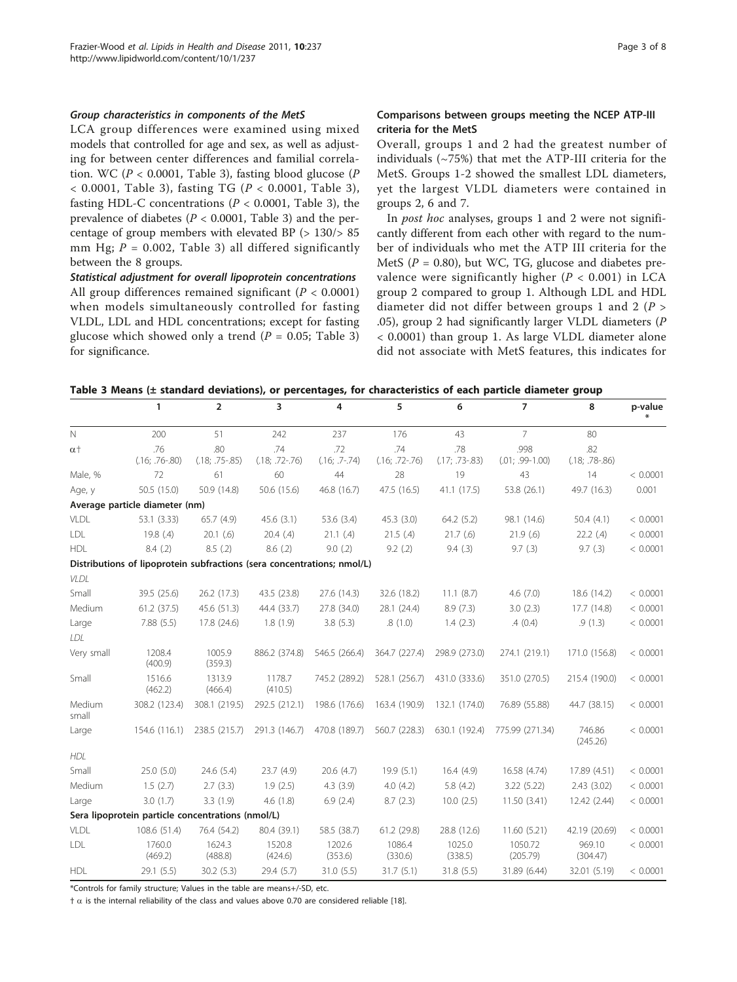#### <span id="page-2-0"></span>Group characteristics in components of the MetS

LCA group differences were examined using mixed models that controlled for age and sex, as well as adjusting for between center differences and familial correlation. WC ( $P < 0.0001$ , Table 3), fasting blood glucose ( $P$ < 0.0001, Table 3), fasting TG (P < 0.0001, Table 3), fasting HDL-C concentrations ( $P < 0.0001$ , Table 3), the prevalence of diabetes ( $P < 0.0001$ , Table 3) and the percentage of group members with elevated BP (> 130/> 85 mm Hg;  $P = 0.002$ , Table 3) all differed significantly between the 8 groups.

Statistical adjustment for overall lipoprotein concentrations All group differences remained significant ( $P < 0.0001$ ) when models simultaneously controlled for fasting VLDL, LDL and HDL concentrations; except for fasting glucose which showed only a trend ( $P = 0.05$ ; Table 3) for significance.

#### Comparisons between groups meeting the NCEP ATP-III criteria for the MetS

Overall, groups 1 and 2 had the greatest number of individuals  $(\sim 75\%)$  that met the ATP-III criteria for the MetS. Groups 1-2 showed the smallest LDL diameters, yet the largest VLDL diameters were contained in groups 2, 6 and 7.

In post hoc analyses, groups 1 and 2 were not significantly different from each other with regard to the number of individuals who met the ATP III criteria for the MetS ( $P = 0.80$ ), but WC, TG, glucose and diabetes prevalence were significantly higher ( $P < 0.001$ ) in LCA group 2 compared to group 1. Although LDL and HDL diameter did not differ between groups 1 and 2  $(P >$ .05), group 2 had significantly larger VLDL diameters (P < 0.0001) than group 1. As large VLDL diameter alone did not associate with MetS features, this indicates for

|                       | 1                                                                       | $\overline{2}$          | 3                       | 4                      | 5                       | 6                       | $\overline{7}$            | 8                       | p-value<br>⋇ |
|-----------------------|-------------------------------------------------------------------------|-------------------------|-------------------------|------------------------|-------------------------|-------------------------|---------------------------|-------------------------|--------------|
| $\mathbb N$           | 200                                                                     | 51                      | 242                     | 237                    | 176                     | 43                      | $\overline{7}$            | 80                      |              |
| $\alpha$ <sup>+</sup> | .76<br>$(.16; .76-.80)$                                                 | .80<br>$(.18; .75-.85)$ | .74<br>$(.18; .72-.76)$ | .72<br>$(.16; .7-.74)$ | .74<br>$(.16; .72-.76)$ | .78<br>$(.17; .73-.83)$ | .998<br>$(.01; .99-1.00)$ | .82<br>$(.18; .78-.86)$ |              |
| Male, %               | 72                                                                      | 61                      | 60                      | 44                     | 28                      | 19                      | 43                        | 14                      | < 0.0001     |
| Age, y                | 50.5 (15.0)                                                             | 50.9 (14.8)             | 50.6 (15.6)             | 46.8 (16.7)            | 47.5 (16.5)             | 41.1(17.5)              | 53.8 (26.1)               | 49.7 (16.3)             | 0.001        |
|                       | Average particle diameter (nm)                                          |                         |                         |                        |                         |                         |                           |                         |              |
| VLDL                  | 53.1 (3.33)                                                             | 65.7 (4.9)              | 45.6(3.1)               | 53.6 (3.4)             | 45.3(3.0)               | 64.2(5.2)               | 98.1 (14.6)               | 50.4(4.1)               | < 0.0001     |
| LDL                   | 19.8(4)                                                                 | $20.1$ (.6)             | 20.4(.4)                | $21.1$ (.4)            | $21.5$ (.4)             | 21.7(6)                 | 21.9(6)                   | 22.2(.4)                | < 0.0001     |
| <b>HDL</b>            | 8.4(.2)                                                                 | 8.5(.2)                 | 8.6(.2)                 | 9.0(.2)                | $9.2$ (.2)              | 9.4(.3)                 | 9.7(.3)                   | 9.7(.3)                 | < 0.0001     |
|                       | Distributions of lipoprotein subfractions (sera concentrations; nmol/L) |                         |                         |                        |                         |                         |                           |                         |              |
| VLDL                  |                                                                         |                         |                         |                        |                         |                         |                           |                         |              |
| Small                 | 39.5 (25.6)                                                             | 26.2 (17.3)             | 43.5 (23.8)             | 27.6 (14.3)            | 32.6 (18.2)             | 11.1(8.7)               | 4.6(7.0)                  | 18.6 (14.2)             | < 0.0001     |
| Medium                | 61.2(37.5)                                                              | 45.6 (51.3)             | 44.4 (33.7)             | 27.8 (34.0)            | 28.1 (24.4)             | 8.9(7.3)                | 3.0(2.3)                  | 17.7 (14.8)             | < 0.0001     |
| Large                 | 7.88(5.5)                                                               | 17.8 (24.6)             | 1.8(1.9)                | 3.8(5.3)               | .8(1.0)                 | 1.4(2.3)                | .4(0.4)                   | .9(1.3)                 | < 0.0001     |
| LDL                   |                                                                         |                         |                         |                        |                         |                         |                           |                         |              |
| Very small            | 1208.4<br>(400.9)                                                       | 1005.9<br>(359.3)       | 886.2 (374.8)           | 546.5 (266.4)          | 364.7 (227.4)           | 298.9 (273.0)           | 274.1 (219.1)             | 171.0 (156.8)           | < 0.0001     |
| Small                 | 1516.6<br>(462.2)                                                       | 1313.9<br>(466.4)       | 1178.7<br>(410.5)       | 745.2 (289.2)          | 528.1 (256.7)           | 431.0 (333.6)           | 351.0 (270.5)             | 215.4 (190.0)           | < 0.0001     |
| Medium<br>small       | 308.2 (123.4)                                                           | 308.1 (219.5)           | 292.5 (212.1)           | 198.6 (176.6)          | 163.4 (190.9)           | 132.1 (174.0)           | 76.89 (55.88)             | 44.7 (38.15)            | < 0.0001     |
| Large                 | 154.6 (116.1)                                                           | 238.5 (215.7)           | 291.3 (146.7)           | 470.8 (189.7)          | 560.7 (228.3)           | 630.1 (192.4)           | 775.99 (271.34)           | 746.86<br>(245.26)      | < 0.0001     |
| HDL                   |                                                                         |                         |                         |                        |                         |                         |                           |                         |              |
| Small                 | 25.0(5.0)                                                               | 24.6(5.4)               | 23.7 (4.9)              | 20.6(4.7)              | 19.9(5.1)               | 16.4(4.9)               | 16.58 (4.74)              | 17.89 (4.51)            | < 0.0001     |
| Medium                | 1.5(2.7)                                                                | 2.7(3.3)                | 1.9(2.5)                | 4.3(3.9)               | 4.0(4.2)                | 5.8(4.2)                | 3.22(5.22)                | 2.43(3.02)              | < 0.0001     |
| Large                 | 3.0(1.7)                                                                | 3.3(1.9)                | 4.6(1.8)                | 6.9(2.4)               | 8.7(2.3)                | 10.0(2.5)               | 11.50 (3.41)              | 12.42 (2.44)            | < 0.0001     |
|                       | Sera lipoprotein particle concentrations (nmol/L)                       |                         |                         |                        |                         |                         |                           |                         |              |
| VLDL                  | 108.6 (51.4)                                                            | 76.4 (54.2)             | 80.4 (39.1)             | 58.5 (38.7)            | 61.2(29.8)              | 28.8 (12.6)             | 11.60 (5.21)              | 42.19 (20.69)           | < 0.0001     |
| <b>LDL</b>            | 1760.0<br>(469.2)                                                       | 1624.3<br>(488.8)       | 1520.8<br>(424.6)       | 1202.6<br>(353.6)      | 1086.4<br>(330.6)       | 1025.0<br>(338.5)       | 1050.72<br>(205.79)       | 969.10<br>(304.47)      | < 0.0001     |
| <b>HDL</b>            | 29.1(5.5)                                                               | 30.2(5.3)               | 29.4 (5.7)              | 31.0 (5.5)             | 31.7(5.1)               | 31.8 (5.5)              | 31.89 (6.44)              | 32.01 (5.19)            | < 0.0001     |

\*Controls for family structure; Values in the table are means+/-SD, etc.

 $\dagger$   $\alpha$  is the internal reliability of the class and values above 0.70 are considered reliable [\[18](#page-7-0)].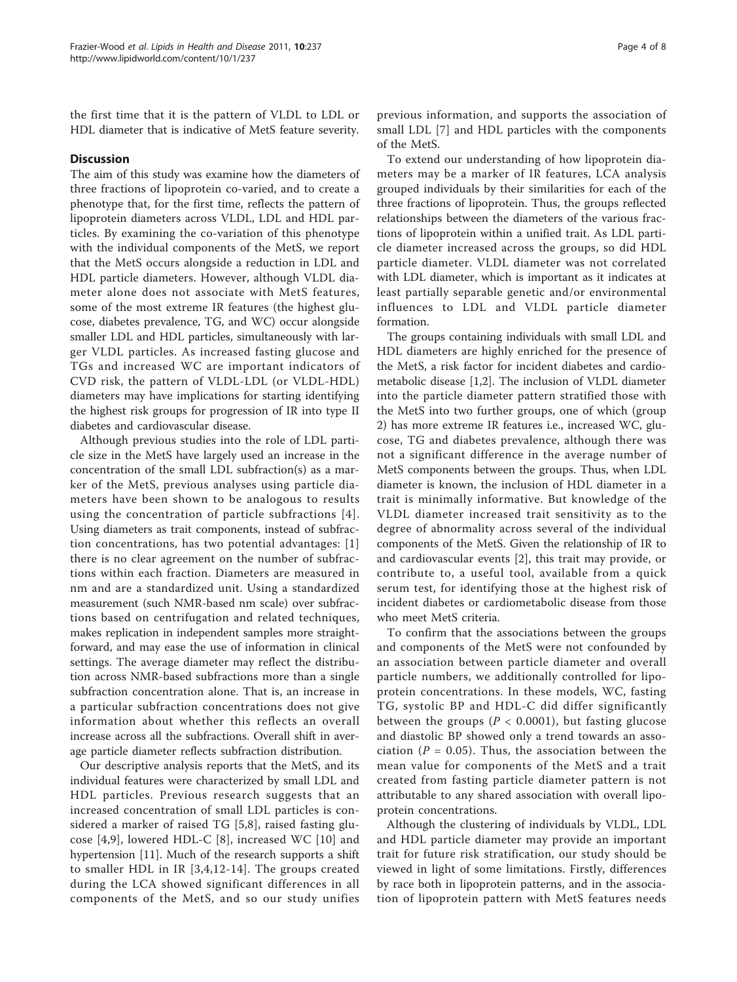the first time that it is the pattern of VLDL to LDL or HDL diameter that is indicative of MetS feature severity.

#### **Discussion**

The aim of this study was examine how the diameters of three fractions of lipoprotein co-varied, and to create a phenotype that, for the first time, reflects the pattern of lipoprotein diameters across VLDL, LDL and HDL particles. By examining the co-variation of this phenotype with the individual components of the MetS, we report that the MetS occurs alongside a reduction in LDL and HDL particle diameters. However, although VLDL diameter alone does not associate with MetS features, some of the most extreme IR features (the highest glucose, diabetes prevalence, TG, and WC) occur alongside smaller LDL and HDL particles, simultaneously with larger VLDL particles. As increased fasting glucose and TGs and increased WC are important indicators of CVD risk, the pattern of VLDL-LDL (or VLDL-HDL) diameters may have implications for starting identifying the highest risk groups for progression of IR into type II diabetes and cardiovascular disease.

Although previous studies into the role of LDL particle size in the MetS have largely used an increase in the concentration of the small LDL subfraction(s) as a marker of the MetS, previous analyses using particle diameters have been shown to be analogous to results using the concentration of particle subfractions [\[4\]](#page-6-0). Using diameters as trait components, instead of subfraction concentrations, has two potential advantages: [[1](#page-6-0)] there is no clear agreement on the number of subfractions within each fraction. Diameters are measured in nm and are a standardized unit. Using a standardized measurement (such NMR-based nm scale) over subfractions based on centrifugation and related techniques, makes replication in independent samples more straightforward, and may ease the use of information in clinical settings. The average diameter may reflect the distribution across NMR-based subfractions more than a single subfraction concentration alone. That is, an increase in a particular subfraction concentrations does not give information about whether this reflects an overall increase across all the subfractions. Overall shift in average particle diameter reflects subfraction distribution.

Our descriptive analysis reports that the MetS, and its individual features were characterized by small LDL and HDL particles. Previous research suggests that an increased concentration of small LDL particles is considered a marker of raised TG [[5,8](#page-6-0)], raised fasting glucose [[4,9](#page-6-0)], lowered HDL-C [[8\]](#page-6-0), increased WC [\[10](#page-6-0)] and hypertension [[11\]](#page-6-0). Much of the research supports a shift to smaller HDL in IR [[3](#page-6-0),[4,12-14\]](#page-6-0). The groups created during the LCA showed significant differences in all components of the MetS, and so our study unifies

previous information, and supports the association of small LDL [[7\]](#page-6-0) and HDL particles with the components of the MetS.

To extend our understanding of how lipoprotein diameters may be a marker of IR features, LCA analysis grouped individuals by their similarities for each of the three fractions of lipoprotein. Thus, the groups reflected relationships between the diameters of the various fractions of lipoprotein within a unified trait. As LDL particle diameter increased across the groups, so did HDL particle diameter. VLDL diameter was not correlated with LDL diameter, which is important as it indicates at least partially separable genetic and/or environmental influences to LDL and VLDL particle diameter formation.

The groups containing individuals with small LDL and HDL diameters are highly enriched for the presence of the MetS, a risk factor for incident diabetes and cardiometabolic disease [[1,2\]](#page-6-0). The inclusion of VLDL diameter into the particle diameter pattern stratified those with the MetS into two further groups, one of which (group 2) has more extreme IR features i.e., increased WC, glucose, TG and diabetes prevalence, although there was not a significant difference in the average number of MetS components between the groups. Thus, when LDL diameter is known, the inclusion of HDL diameter in a trait is minimally informative. But knowledge of the VLDL diameter increased trait sensitivity as to the degree of abnormality across several of the individual components of the MetS. Given the relationship of IR to and cardiovascular events [[2](#page-6-0)], this trait may provide, or contribute to, a useful tool, available from a quick serum test, for identifying those at the highest risk of incident diabetes or cardiometabolic disease from those who meet MetS criteria.

To confirm that the associations between the groups and components of the MetS were not confounded by an association between particle diameter and overall particle numbers, we additionally controlled for lipoprotein concentrations. In these models, WC, fasting TG, systolic BP and HDL-C did differ significantly between the groups ( $P < 0.0001$ ), but fasting glucose and diastolic BP showed only a trend towards an association ( $P = 0.05$ ). Thus, the association between the mean value for components of the MetS and a trait created from fasting particle diameter pattern is not attributable to any shared association with overall lipoprotein concentrations.

Although the clustering of individuals by VLDL, LDL and HDL particle diameter may provide an important trait for future risk stratification, our study should be viewed in light of some limitations. Firstly, differences by race both in lipoprotein patterns, and in the association of lipoprotein pattern with MetS features needs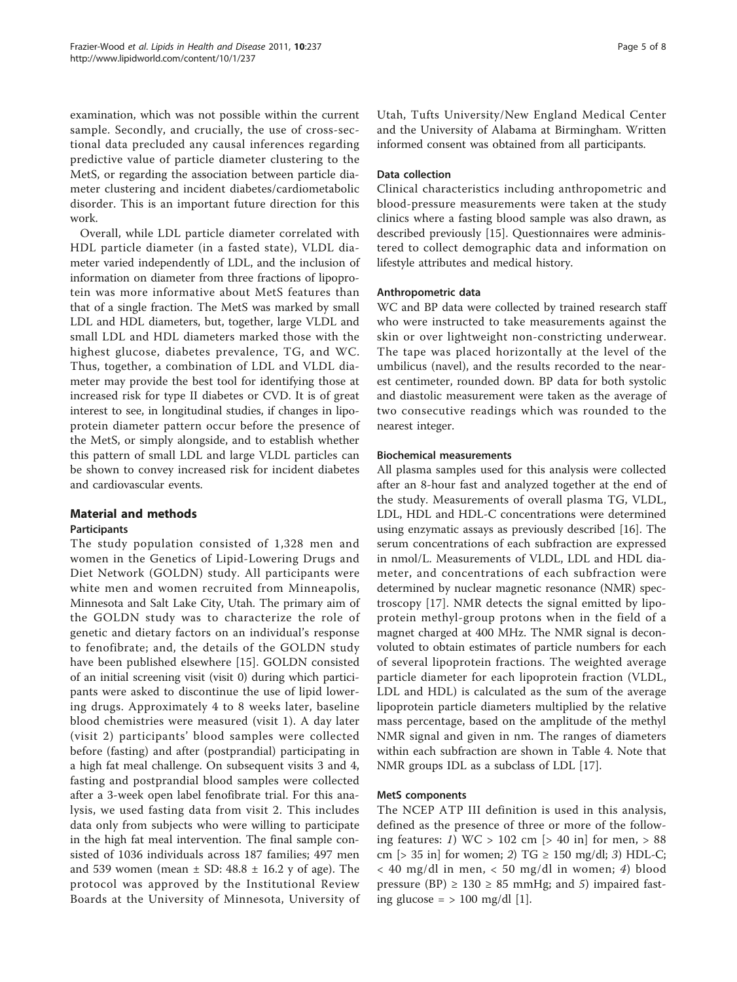examination, which was not possible within the current sample. Secondly, and crucially, the use of cross-sectional data precluded any causal inferences regarding predictive value of particle diameter clustering to the MetS, or regarding the association between particle diameter clustering and incident diabetes/cardiometabolic disorder. This is an important future direction for this work.

Overall, while LDL particle diameter correlated with HDL particle diameter (in a fasted state), VLDL diameter varied independently of LDL, and the inclusion of information on diameter from three fractions of lipoprotein was more informative about MetS features than that of a single fraction. The MetS was marked by small LDL and HDL diameters, but, together, large VLDL and small LDL and HDL diameters marked those with the highest glucose, diabetes prevalence, TG, and WC. Thus, together, a combination of LDL and VLDL diameter may provide the best tool for identifying those at increased risk for type II diabetes or CVD. It is of great interest to see, in longitudinal studies, if changes in lipoprotein diameter pattern occur before the presence of the MetS, or simply alongside, and to establish whether this pattern of small LDL and large VLDL particles can be shown to convey increased risk for incident diabetes and cardiovascular events.

#### Material and methods

#### Participants

The study population consisted of 1,328 men and women in the Genetics of Lipid-Lowering Drugs and Diet Network (GOLDN) study. All participants were white men and women recruited from Minneapolis, Minnesota and Salt Lake City, Utah. The primary aim of the GOLDN study was to characterize the role of genetic and dietary factors on an individual's response to fenofibrate; and, the details of the GOLDN study have been published elsewhere [[15\]](#page-6-0). GOLDN consisted of an initial screening visit (visit 0) during which participants were asked to discontinue the use of lipid lowering drugs. Approximately 4 to 8 weeks later, baseline blood chemistries were measured (visit 1). A day later (visit 2) participants' blood samples were collected before (fasting) and after (postprandial) participating in a high fat meal challenge. On subsequent visits 3 and 4, fasting and postprandial blood samples were collected after a 3-week open label fenofibrate trial. For this analysis, we used fasting data from visit 2. This includes data only from subjects who were willing to participate in the high fat meal intervention. The final sample consisted of 1036 individuals across 187 families; 497 men and 539 women (mean  $\pm$  SD: 48.8  $\pm$  16.2 y of age). The protocol was approved by the Institutional Review Boards at the University of Minnesota, University of Utah, Tufts University/New England Medical Center and the University of Alabama at Birmingham. Written informed consent was obtained from all participants.

#### Data collection

Clinical characteristics including anthropometric and blood-pressure measurements were taken at the study clinics where a fasting blood sample was also drawn, as described previously [[15\]](#page-6-0). Questionnaires were administered to collect demographic data and information on lifestyle attributes and medical history.

#### Anthropometric data

WC and BP data were collected by trained research staff who were instructed to take measurements against the skin or over lightweight non-constricting underwear. The tape was placed horizontally at the level of the umbilicus (navel), and the results recorded to the nearest centimeter, rounded down. BP data for both systolic and diastolic measurement were taken as the average of two consecutive readings which was rounded to the nearest integer.

#### Biochemical measurements

All plasma samples used for this analysis were collected after an 8-hour fast and analyzed together at the end of the study. Measurements of overall plasma TG, VLDL, LDL, HDL and HDL-C concentrations were determined using enzymatic assays as previously described [[16\]](#page-6-0). The serum concentrations of each subfraction are expressed in nmol/L. Measurements of VLDL, LDL and HDL diameter, and concentrations of each subfraction were determined by nuclear magnetic resonance (NMR) spectroscopy [\[17\]](#page-7-0). NMR detects the signal emitted by lipoprotein methyl-group protons when in the field of a magnet charged at 400 MHz. The NMR signal is deconvoluted to obtain estimates of particle numbers for each of several lipoprotein fractions. The weighted average particle diameter for each lipoprotein fraction (VLDL, LDL and HDL) is calculated as the sum of the average lipoprotein particle diameters multiplied by the relative mass percentage, based on the amplitude of the methyl NMR signal and given in nm. The ranges of diameters within each subfraction are shown in Table [4.](#page-5-0) Note that NMR groups IDL as a subclass of LDL [\[17](#page-7-0)].

#### MetS components

The NCEP ATP III definition is used in this analysis, defined as the presence of three or more of the following features: 1) WC > 102 cm [> 40 in] for men, > 88 cm [> 35 in] for women; 2) TG  $\geq$  150 mg/dl; 3) HDL-C; < 40 mg/dl in men, < 50 mg/dl in women; 4) blood pressure (BP)  $\geq$  130  $\geq$  85 mmHg; and 5) impaired fasting glucose  $=$  > 100 mg/dl [[1\]](#page-6-0).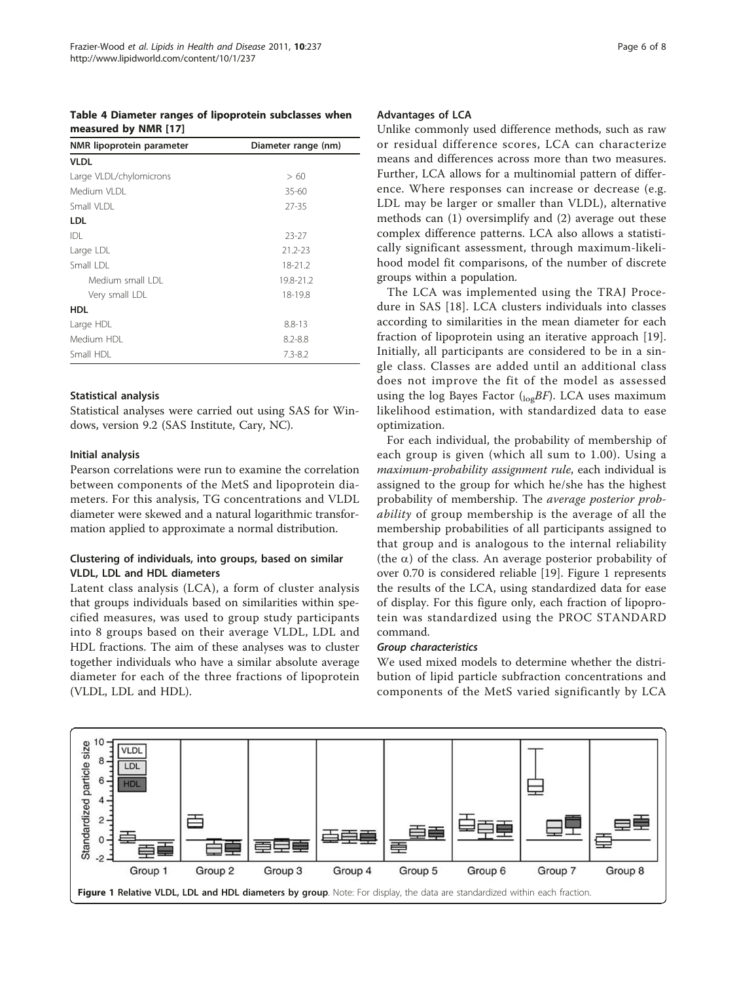<span id="page-5-0"></span>Table 4 Diameter ranges of lipoprotein subclasses when measured by NMR [[17\]](#page-7-0)

| NMR lipoprotein parameter | Diameter range (nm) |
|---------------------------|---------------------|
| <b>VLDL</b>               |                     |
| Large VLDL/chylomicrons   | >60                 |
| Medium VI DI              | 35-60               |
| Small VLDL                | 27-35               |
| <b>LDL</b>                |                     |
| IDI                       | 23-27               |
| Large LDL                 | $21.2 - 23$         |
| $Small$ $DI$              | $18 - 21.2$         |
| Medium small I DI         | 19.8-21.2           |
| Very small LDL            | 18-19.8             |
| <b>HDL</b>                |                     |
| Large HDL                 | $8.8 - 13$          |
| Medium HDL                | $8.2 - 8.8$         |
| Small HDL                 | $7.3 - 8.2$         |

#### Statistical analysis

Statistical analyses were carried out using SAS for Windows, version 9.2 (SAS Institute, Cary, NC).

#### Initial analysis

Pearson correlations were run to examine the correlation between components of the MetS and lipoprotein diameters. For this analysis, TG concentrations and VLDL diameter were skewed and a natural logarithmic transformation applied to approximate a normal distribution.

#### Clustering of individuals, into groups, based on similar VLDL, LDL and HDL diameters

Latent class analysis (LCA), a form of cluster analysis that groups individuals based on similarities within specified measures, was used to group study participants into 8 groups based on their average VLDL, LDL and HDL fractions. The aim of these analyses was to cluster together individuals who have a similar absolute average diameter for each of the three fractions of lipoprotein (VLDL, LDL and HDL).

#### Advantages of LCA

Unlike commonly used difference methods, such as raw or residual difference scores, LCA can characterize means and differences across more than two measures. Further, LCA allows for a multinomial pattern of difference. Where responses can increase or decrease (e.g. LDL may be larger or smaller than VLDL), alternative methods can (1) oversimplify and (2) average out these complex difference patterns. LCA also allows a statistically significant assessment, through maximum-likelihood model fit comparisons, of the number of discrete groups within a population.

The LCA was implemented using the TRAJ Procedure in SAS [\[18](#page-7-0)]. LCA clusters individuals into classes according to similarities in the mean diameter for each fraction of lipoprotein using an iterative approach [\[19](#page-7-0)]. Initially, all participants are considered to be in a single class. Classes are added until an additional class does not improve the fit of the model as assessed using the log Bayes Factor  $({_{log}BF})$ . LCA uses maximum likelihood estimation, with standardized data to ease optimization.

For each individual, the probability of membership of each group is given (which all sum to 1.00). Using a maximum-probability assignment rule, each individual is assigned to the group for which he/she has the highest probability of membership. The average posterior probability of group membership is the average of all the membership probabilities of all participants assigned to that group and is analogous to the internal reliability (the  $\alpha$ ) of the class. An average posterior probability of over 0.70 is considered reliable [\[19](#page-7-0)]. Figure 1 represents the results of the LCA, using standardized data for ease of display. For this figure only, each fraction of lipoprotein was standardized using the PROC STANDARD command.

#### Group characteristics

We used mixed models to determine whether the distribution of lipid particle subfraction concentrations and components of the MetS varied significantly by LCA

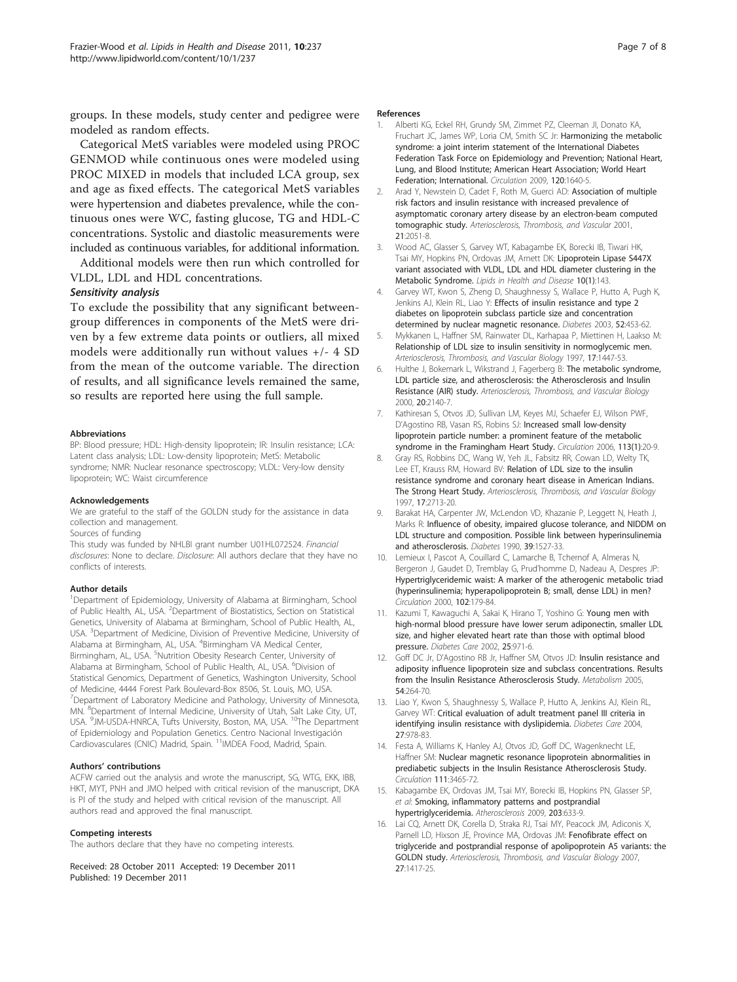<span id="page-6-0"></span>groups. In these models, study center and pedigree were modeled as random effects.

Categorical MetS variables were modeled using PROC GENMOD while continuous ones were modeled using PROC MIXED in models that included LCA group, sex and age as fixed effects. The categorical MetS variables were hypertension and diabetes prevalence, while the continuous ones were WC, fasting glucose, TG and HDL-C concentrations. Systolic and diastolic measurements were included as continuous variables, for additional information.

Additional models were then run which controlled for VLDL, LDL and HDL concentrations.

#### Sensitivity analysis

To exclude the possibility that any significant betweengroup differences in components of the MetS were driven by a few extreme data points or outliers, all mixed models were additionally run without values +/- 4 SD from the mean of the outcome variable. The direction of results, and all significance levels remained the same, so results are reported here using the full sample.

#### Abbreviations

BP: Blood pressure; HDL: High-density lipoprotein; IR: Insulin resistance; LCA: Latent class analysis; LDL: Low-density lipoprotein; MetS: Metabolic syndrome; NMR: Nuclear resonance spectroscopy; VLDL: Very-low density lipoprotein; WC: Waist circumference

#### Acknowledgements

We are grateful to the staff of the GOLDN study for the assistance in data collection and management.

Sources of funding

This study was funded by NHLBI grant number U01HL072524. Financial disclosures: None to declare. Disclosure: All authors declare that they have no conflicts of interests.

#### Author details

<sup>1</sup>Department of Epidemiology, University of Alabama at Birmingham, School of Public Health, AL, USA. <sup>2</sup>Department of Biostatistics, Section on Statistical Genetics, University of Alabama at Birmingham, School of Public Health, AL, USA. <sup>3</sup>Department of Medicine, Division of Preventive Medicine, University of Alabama at Birmingham, AL, USA. <sup>4</sup>Birmingham VA Medical Center, Birmingham, AL, USA. <sup>5</sup>Nutrition Obesity Research Center, University of Alabama at Birmingham, School of Public Health, AL, USA. <sup>6</sup>Division of Statistical Genomics, Department of Genetics, Washington University, School of Medicine, 4444 Forest Park Boulevard-Box 8506, St. Louis, MO, USA. <sup>7</sup> Department of Laboratory Medicine and Pathology, University of Minnesota, MN. <sup>8</sup> Department of Internal Medicine, University of Utah, Salt Lake City, UT, USA. <sup>9</sup>JM-USDA-HNRCA, Tufts University, Boston, MA, USA. <sup>10</sup>The Department of Epidemiology and Population Genetics. Centro Nacional Investigación Cardiovasculares (CNIC) Madrid, Spain. <sup>11</sup>IMDEA Food, Madrid, Spain.

#### Authors' contributions

ACFW carried out the analysis and wrote the manuscript, SG, WTG, EKK, IBB, HKT, MYT, PNH and JMO helped with critical revision of the manuscript, DKA is PI of the study and helped with critical revision of the manuscript. All authors read and approved the final manuscript.

#### Competing interests

The authors declare that they have no competing interests.

Received: 28 October 2011 Accepted: 19 December 2011 Published: 19 December 2011

#### References

- 1. Alberti KG, Eckel RH, Grundy SM, Zimmet PZ, Cleeman JI, Donato KA, Fruchart JC, James WP, Loria CM, Smith SC Jr: [Harmonizing the metabolic](http://www.ncbi.nlm.nih.gov/pubmed/19805654?dopt=Abstract) [syndrome: a joint interim statement of the International Diabetes](http://www.ncbi.nlm.nih.gov/pubmed/19805654?dopt=Abstract) [Federation Task Force on Epidemiology and Prevention; National Heart,](http://www.ncbi.nlm.nih.gov/pubmed/19805654?dopt=Abstract) [Lung, and Blood Institute; American Heart Association; World Heart](http://www.ncbi.nlm.nih.gov/pubmed/19805654?dopt=Abstract) [Federation; International.](http://www.ncbi.nlm.nih.gov/pubmed/19805654?dopt=Abstract) Circulation 2009, 120:1640-5.
- 2. Arad Y, Newstein D, Cadet F, Roth M, Guerci AD: Association of multiple risk factors and insulin resistance with increased prevalence of asymptomatic coronary artery disease by an electron-beam computed tomographic study. Arteriosclerosis, Thrombosis, and Vascular 2001, 21:2051-8.
- 3. Wood AC, Glasser S, Garvey WT, Kabagambe EK, Borecki IB, Tiwari HK, Tsai MY, Hopkins PN, Ordovas JM, Arnett DK: Lipoprotein Lipase S447X variant associated with VLDL, LDL and HDL diameter clustering in the Metabolic Syndrome. Lipids in Health and Disease 10(1):143.
- 4. Garvey WT, Kwon S, Zheng D, Shaughnessy S, Wallace P, Hutto A, Pugh K, Jenkins AJ, Klein RL, Liao Y: [Effects of insulin resistance and type 2](http://www.ncbi.nlm.nih.gov/pubmed/12540621?dopt=Abstract) [diabetes on lipoprotein subclass particle size and concentration](http://www.ncbi.nlm.nih.gov/pubmed/12540621?dopt=Abstract) [determined by nuclear magnetic resonance.](http://www.ncbi.nlm.nih.gov/pubmed/12540621?dopt=Abstract) Diabetes 2003, 52:453-62.
- 5. Mykkanen L, Haffner SM, Rainwater DL, Karhapaa P, Miettinen H, Laakso M: [Relationship of LDL size to insulin sensitivity in normoglycemic men.](http://www.ncbi.nlm.nih.gov/pubmed/9261279?dopt=Abstract) Arteriosclerosis, Thrombosis, and Vascular Biology 1997, 17:1447-53.
- 6. Hulthe J, Bokemark L, Wikstrand J, Fagerberg B: [The metabolic syndrome,](http://www.ncbi.nlm.nih.gov/pubmed/10978261?dopt=Abstract) [LDL particle size, and atherosclerosis: the Atherosclerosis and Insulin](http://www.ncbi.nlm.nih.gov/pubmed/10978261?dopt=Abstract) [Resistance \(AIR\) study.](http://www.ncbi.nlm.nih.gov/pubmed/10978261?dopt=Abstract) Arteriosclerosis, Thrombosis, and Vascular Biology 2000, 20:2140-7.
- 7. Kathiresan S, Otvos JD, Sullivan LM, Keyes MJ, Schaefer EJ, Wilson PWF, D'Agostino RB, Vasan RS, Robins SJ: [Increased small low-density](http://www.ncbi.nlm.nih.gov/pubmed/16380547?dopt=Abstract) [lipoprotein particle number: a prominent feature of the metabolic](http://www.ncbi.nlm.nih.gov/pubmed/16380547?dopt=Abstract) [syndrome in the Framingham Heart Study.](http://www.ncbi.nlm.nih.gov/pubmed/16380547?dopt=Abstract) Circulation 2006, 113(1):20-9.
- 8. Gray RS, Robbins DC, Wang W, Yeh JL, Fabsitz RR, Cowan LD, Welty TK, Lee ET, Krauss RM, Howard BV: [Relation of LDL size to the insulin](http://www.ncbi.nlm.nih.gov/pubmed/9409247?dopt=Abstract) [resistance syndrome and coronary heart disease in American Indians.](http://www.ncbi.nlm.nih.gov/pubmed/9409247?dopt=Abstract) [The Strong Heart Study.](http://www.ncbi.nlm.nih.gov/pubmed/9409247?dopt=Abstract) Arteriosclerosis, Thrombosis, and Vascular Biology 1997, 17:2713-20.
- 9. Barakat HA, Carpenter JW, McLendon VD, Khazanie P, Leggett N, Heath J, Marks R: [Influence of obesity, impaired glucose tolerance, and NIDDM on](http://www.ncbi.nlm.nih.gov/pubmed/2245877?dopt=Abstract) [LDL structure and composition. Possible link between hyperinsulinemia](http://www.ncbi.nlm.nih.gov/pubmed/2245877?dopt=Abstract) [and atherosclerosis.](http://www.ncbi.nlm.nih.gov/pubmed/2245877?dopt=Abstract) Diabetes 1990, 39:1527-33.
- 10. Lemieux I, Pascot A, Couillard C, Lamarche B, Tchernof A, Almeras N, Bergeron J, Gaudet D, Tremblay G, Prud'homme D, Nadeau A, Despres JP: [Hypertriglyceridemic waist: A marker of the atherogenic metabolic triad](http://www.ncbi.nlm.nih.gov/pubmed/10889128?dopt=Abstract) [\(hyperinsulinemia; hyperapolipoprotein B; small, dense LDL\) in men?](http://www.ncbi.nlm.nih.gov/pubmed/10889128?dopt=Abstract) Circulation 2000, 102:179-84.
- 11. Kazumi T, Kawaguchi A, Sakai K, Hirano T, Yoshino G: [Young men with](http://www.ncbi.nlm.nih.gov/pubmed/12032101?dopt=Abstract) [high-normal blood pressure have lower serum adiponectin, smaller LDL](http://www.ncbi.nlm.nih.gov/pubmed/12032101?dopt=Abstract) [size, and higher elevated heart rate than those with optimal blood](http://www.ncbi.nlm.nih.gov/pubmed/12032101?dopt=Abstract) [pressure.](http://www.ncbi.nlm.nih.gov/pubmed/12032101?dopt=Abstract) Diabetes Care 2002, 25:971-6.
- 12. Goff DC Jr, D'Agostino RB Jr, Haffner SM, Otvos JD: [Insulin resistance and](http://www.ncbi.nlm.nih.gov/pubmed/15690322?dopt=Abstract) [adiposity influence lipoprotein size and subclass concentrations. Results](http://www.ncbi.nlm.nih.gov/pubmed/15690322?dopt=Abstract) [from the Insulin Resistance Atherosclerosis Study.](http://www.ncbi.nlm.nih.gov/pubmed/15690322?dopt=Abstract) Metabolism 2005, 54:264-70.
- 13. Liao Y, Kwon S, Shaughnessy S, Wallace P, Hutto A, Jenkins AJ, Klein RL, Garvey WT: [Critical evaluation of adult treatment panel III criteria in](http://www.ncbi.nlm.nih.gov/pubmed/15047659?dopt=Abstract) identifying [insulin resistance with dyslipidemia.](http://www.ncbi.nlm.nih.gov/pubmed/15047659?dopt=Abstract) Diabetes Care 2004, 27:978-83.
- 14. Festa A, Williams K, Hanley AJ, Otvos JD, Goff DC, Wagenknecht LE, Haffner SM: Nuclear magnetic resonance lipoprotein abnormalities in prediabetic subjects in the Insulin Resistance Atherosclerosis Study. Circulation 111:3465-72.
- 15. Kabagambe EK, Ordovas JM, Tsai MY, Borecki IB, Hopkins PN, Glasser SP, et al: [Smoking, inflammatory patterns and postprandial](http://www.ncbi.nlm.nih.gov/pubmed/18804210?dopt=Abstract) [hypertriglyceridemia.](http://www.ncbi.nlm.nih.gov/pubmed/18804210?dopt=Abstract) Atherosclerosis 2009, 203:633-9.
- 16. Lai CQ, Arnett DK, Corella D, Straka RJ, Tsai MY, Peacock JM, Adiconis X, Parnell LD, Hixson JE, Province MA, Ordovas JM: [Fenofibrate effect on](http://www.ncbi.nlm.nih.gov/pubmed/17431185?dopt=Abstract) [triglyceride and postprandial response of apolipoprotein A5 variants: the](http://www.ncbi.nlm.nih.gov/pubmed/17431185?dopt=Abstract) [GOLDN study.](http://www.ncbi.nlm.nih.gov/pubmed/17431185?dopt=Abstract) Arteriosclerosis, Thrombosis, and Vascular Biology 2007, 27:1417-25.